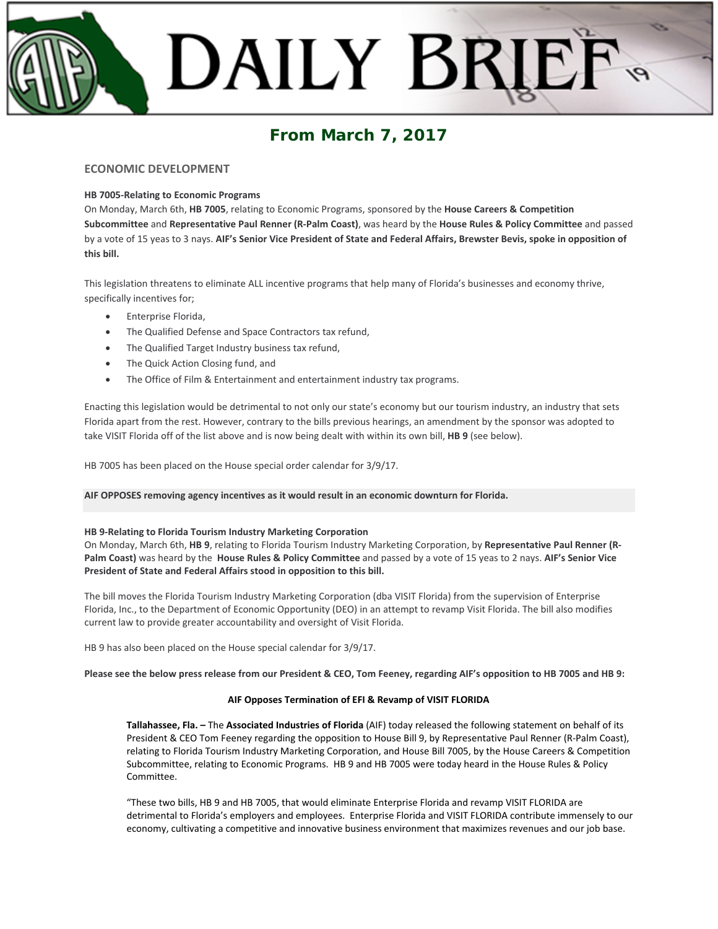# DAILY BRI

# **From March 7, 2017**

# **ECONOMIC DEVELOPMENT**

# **HB 7005-Relating to Economic Programs**

On Monday, March 6th, **HB 7005**, relating to Economic Programs, sponsored by the **House Careers & Competition Subcommittee** and **Representative Paul Renner (R-Palm Coast)**, was heard by the **House Rules & Policy Committee** and passed by a vote of 15 yeas to 3 nays. **AIF's Senior Vice President of State and Federal Affairs, Brewster Bevis, spoke in opposition of this bill.**

This legislation threatens to eliminate ALL incentive programs that help many of Florida's businesses and economy thrive, specifically incentives for;

- Enterprise Florida,
- The Qualified Defense and Space Contractors tax refund,
- The Qualified Target Industry business tax refund,
- The Quick Action Closing fund, and
- The Office of Film & Entertainment and entertainment industry tax programs.

Enacting this legislation would be detrimental to not only our state's economy but our tourism industry, an industry that sets Florida apart from the rest. However, contrary to the bills previous hearings, an amendment by the sponsor was adopted to take VISIT Florida off of the list above and is now being dealt with within its own bill, **HB 9** (see below).

HB 7005 has been placed on the House special order calendar for 3/9/17.

# **AIF OPPOSES removing agency incentives as it would result in an economic downturn for Florida.**

# **HB 9-Relating to Florida Tourism Industry Marketing Corporation**

On Monday, March 6th, **HB 9**, relating to Florida Tourism Industry Marketing Corporation, by **Representative Paul Renner (R-Palm Coast)** was heard by the **House Rules & Policy Committee** and passed by a vote of 15 yeas to 2 nays. **AIF's Senior Vice President of State and Federal Affairs stood in opposition to this bill.**

The bill moves the Florida Tourism Industry Marketing Corporation (dba VISIT Florida) from the supervision of Enterprise Florida, Inc., to the Department of Economic Opportunity (DEO) in an attempt to revamp Visit Florida. The bill also modifies current law to provide greater accountability and oversight of Visit Florida.

HB 9 has also been placed on the House special calendar for 3/9/17.

**Please see the below press release from our President & CEO, Tom Feeney, regarding AIF's opposition to HB 7005 and HB 9:**

# **AIF Opposes Termination of EFI & Revamp of VISIT FLORIDA**

**Tallahassee, Fla. –** The **Associated Industries of Florida** (AIF) today released the following statement on behalf of its President & CEO Tom Feeney regarding the opposition to House Bill 9, by Representative Paul Renner (R-Palm Coast), relating to Florida Tourism Industry Marketing Corporation, and House Bill 7005, by the House Careers & Competition Subcommittee, relating to Economic Programs. HB 9 and HB 7005 were today heard in the House Rules & Policy Committee.

"These two bills, HB 9 and HB 7005, that would eliminate Enterprise Florida and revamp VISIT FLORIDA are detrimental to Florida's employers and employees. Enterprise Florida and VISIT FLORIDA contribute immensely to our economy, cultivating a competitive and innovative business environment that maximizes revenues and our job base.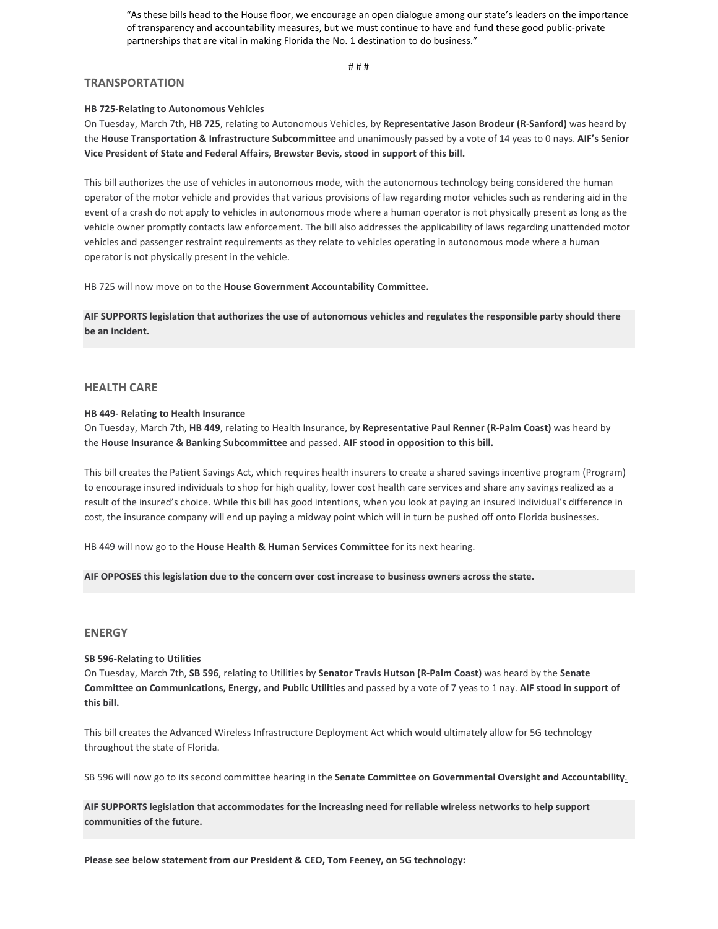"As these bills head to the House floor, we encourage an open dialogue among our state's leaders on the importance of transparency and accountability measures, but we must continue to have and fund these good public-private partnerships that are vital in making Florida the No. 1 destination to do business."

# # #

#### **TRANSPORTATION**

#### **HB 725-Relating to Autonomous Vehicles**

On Tuesday, March 7th, **HB 725**, relating to Autonomous Vehicles, by **Representative Jason Brodeur (R-Sanford)** was heard by the **House Transportation & Infrastructure Subcommittee** and unanimously passed by a vote of 14 yeas to 0 nays. **AIF's Senior Vice President of State and Federal Affairs, Brewster Bevis, stood in support of this bill.**

This bill authorizes the use of vehicles in autonomous mode, with the autonomous technology being considered the human operator of the motor vehicle and provides that various provisions of law regarding motor vehicles such as rendering aid in the event of a crash do not apply to vehicles in autonomous mode where a human operator is not physically present as long as the vehicle owner promptly contacts law enforcement. The bill also addresses the applicability of laws regarding unattended motor vehicles and passenger restraint requirements as they relate to vehicles operating in autonomous mode where a human operator is not physically present in the vehicle.

HB 725 will now move on to the **House Government Accountability Committee.**

**AIF SUPPORTS legislation that authorizes the use of autonomous vehicles and regulates the responsible party should there be an incident.**

# **HEALTH CARE**

#### **HB 449- Relating to Health Insurance**

On Tuesday, March 7th, **HB 449**, relating to Health Insurance, by **Representative Paul Renner (R-Palm Coast)** was heard by the **House Insurance & Banking Subcommittee** and passed. **AIF stood in opposition to this bill.**

This bill creates the Patient Savings Act, which requires health insurers to create a shared savings incentive program (Program) to encourage insured individuals to shop for high quality, lower cost health care services and share any savings realized as a result of the insured's choice. While this bill has good intentions, when you look at paying an insured individual's difference in cost, the insurance company will end up paying a midway point which will in turn be pushed off onto Florida businesses.

HB 449 will now go to the **House Health & Human Services Committee** for its next hearing.

**AIF OPPOSES this legislation due to the concern over cost increase to business owners across the state.**

#### **ENERGY**

#### **SB 596-Relating to Utilities**

On Tuesday, March 7th, **SB 596**, relating to Utilities by **Senator Travis Hutson (R-Palm Coast)** was heard by the **Senate Committee on Communications, Energy, and Public Utilities** and passed by a vote of 7 yeas to 1 nay. **AIF stood in support of this bill.**

This bill creates the Advanced Wireless Infrastructure Deployment Act which would ultimately allow for 5G technology throughout the state of Florida.

SB 596 will now go to its second committee hearing in the **Senate Committee on Governmental Oversight and Accountability**.

**AIF SUPPORTS legislation that accommodates for the increasing need for reliable wireless networks to help support communities of the future.**

**Please see below statement from our President & CEO, Tom Feeney, on 5G technology:**